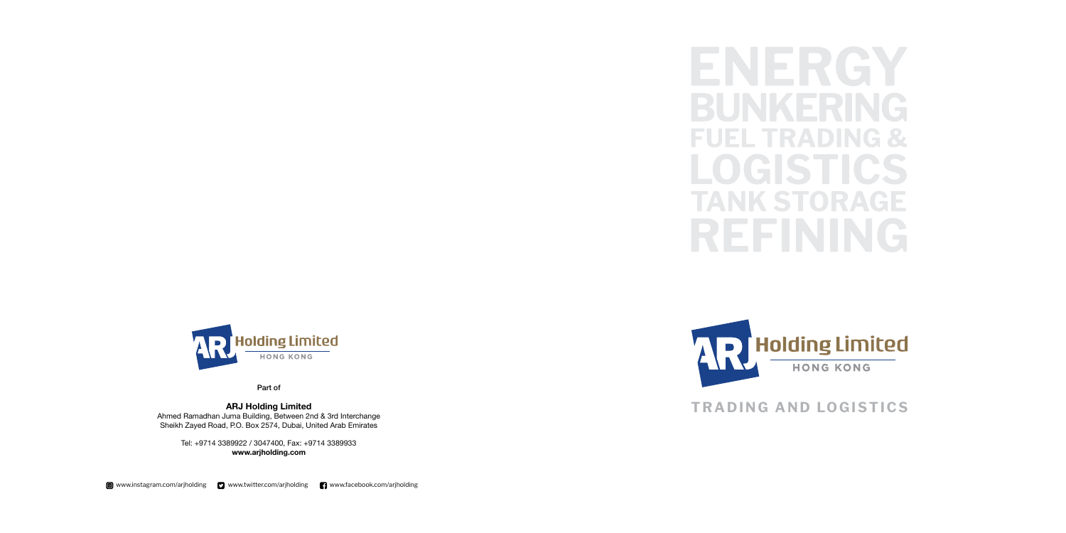

Part of

## **ARJ Holding Limited**

Ahmed Ramadhan Juma Building, Between 2nd & 3rd Interchange Sheikh Zayed Road, P.O. Box 2574, Dubai, United Arab Emirates

> Tel: +9714 3389922 / 3047400, Fax: +9714 3389933 **www.arjholding.com**

ENERGY a bar a ser LOGISTICS  $\mathbf{S}$ REFININ  $\mathcal{L}_{\mathcal{A}}$ 



# **TRADING AND LOGISTICS**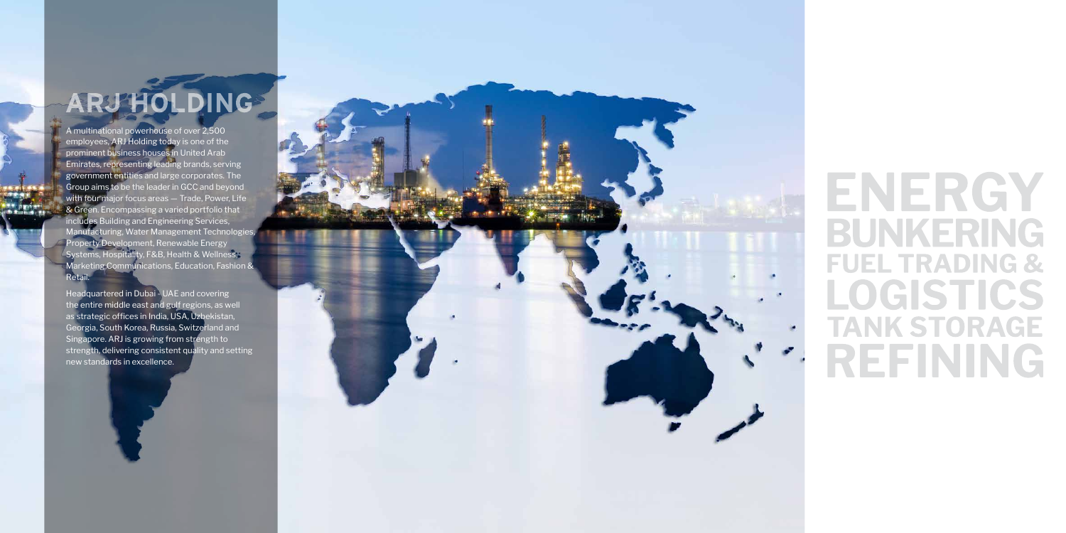NORTH AMERICA

# ARJ HOLDING

A multinational powerhouse of over 2,500 employees, ARJ Holding today is one of the prominent business houses in United Arab Emirates, representing leading brands, serving government entities and large corporates. The Group aims to be the leader in GCC and beyond with four major focus areas — Trade, Power, Life & Green. Encompassing a varied portfolio that includes Building and Engineering Services, Manufacturing, Water Management Technologies, Property Development, Renewable Energy Systems, Hospitality, F&B, Health & Wellness, Marketing Communications, Education, Fashion & Retail.

Headquartered in Dubai - UAE and covering the entire middle east and gulf regions, as well as strategic offices in India, USA, Uzbekistan, Georgia, South Korea, Russia, Switzerland and Singapore. ARJ is growing from strength to strength, delivering consistent quality and setting new standards in excellence.



# FNFRGY BUNKERING **FUEL TRADING &** LOGISTICS **TANK STORAGE** REFINING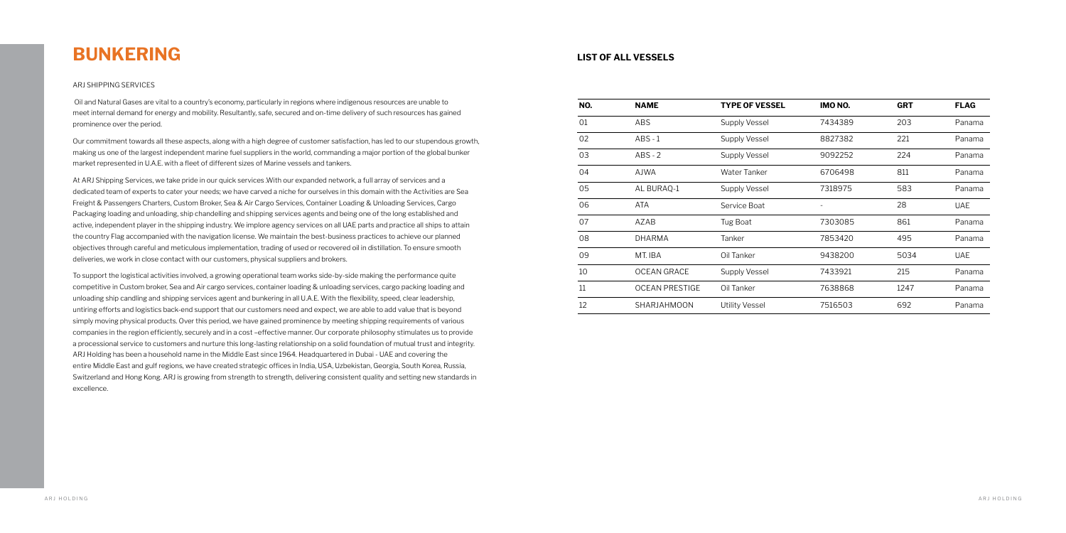# **BUNKERING**

#### ARJ SHIPPING SERVICES

 Oil and Natural Gases are vital to a country's economy, particularly in regions where indigenous resources are unable to meet internal demand for energy and mobility. Resultantly, safe, secured and on-time delivery of such resources has gained prominence over the period.

Our commitment towards all these aspects, along with a high degree of customer satisfaction, has led to our stupendous growth, making us one of the largest independent marine fuel suppliers in the world, commanding a major portion of the global bunker market represented in U.A.E. with a fleet of different sizes of Marine vessels and tankers.

At ARJ Shipping Services, we take pride in our quick services .With our expanded network, a full array of services and a dedicated team of experts to cater your needs; we have carved a niche for ourselves in this domain with the Activities are Sea Freight & Passengers Charters, Custom Broker, Sea & Air Cargo Services, Container Loading & Unloading Services, Cargo Packaging loading and unloading, ship chandelling and shipping services agents and being one of the long established and active, independent player in the shipping industry. We implore agency services on all UAE parts and practice all ships to attain the country Flag accompanied with the navigation license. We maintain the best-business practices to achieve our planned objectives through careful and meticulous implementation, trading of used or recovered oil in distillation. To ensure smooth deliveries, we work in close contact with our customers, physical suppliers and brokers.

To support the logistical activities involved, a growing operational team works side-by-side making the performance quite competitive in Custom broker, Sea and Air cargo services, container loading & unloading services, cargo packing loading and unloading ship candling and shipping services agent and bunkering in all U.A.E. With the flexibility, speed, clear leadership, untiring efforts and logistics back-end support that our customers need and expect, we are able to add value that is beyond simply moving physical products. Over this period, we have gained prominence by meeting shipping requirements of various companies in the region efficiently, securely and in a cost –effective manner. Our corporate philosophy stimulates us to provide a processional service to customers and nurture this long-lasting relationship on a solid foundation of mutual trust and integrity. ARJ Holding has been a household name in the Middle East since 1964. Headquartered in Dubai - UAE and covering the entire Middle East and gulf regions, we have created strategic offices in India, USA, Uzbekistan, Georgia, South Korea, Russia, Switzerland and Hong Kong. ARJ is growing from strength to strength, delivering consistent quality and setting new standards in excellence.

| NO. | <b>NAME</b>           | <b>TYPE OF VESSEL</b> | IMO NO.                  | <b>GRT</b> | <b>FLAG</b> |
|-----|-----------------------|-----------------------|--------------------------|------------|-------------|
| 01  | <b>ABS</b>            | <b>Supply Vessel</b>  | 7434389                  | 203        | Panama      |
| 02  | $ABS - 1$             | <b>Supply Vessel</b>  | 8827382                  | 221        | Panama      |
| 03  | $ABS - 2$             | <b>Supply Vessel</b>  | 9092252                  | 224        | Panama      |
| 04  | <b>AJWA</b>           | Water Tanker          | 6706498                  | 811        | Panama      |
| 05  | AL BURAQ-1            | <b>Supply Vessel</b>  | 7318975                  | 583        | Panama      |
| 06  | <b>ATA</b>            | Service Boat          | $\overline{\phantom{a}}$ | 28         | <b>UAE</b>  |
| 07  | AZAB                  | Tug Boat              | 7303085                  | 861        | Panama      |
| 08  | <b>DHARMA</b>         | Tanker                | 7853420                  | 495        | Panama      |
| 09  | MT. IBA               | Oil Tanker            | 9438200                  | 5034       | <b>UAE</b>  |
| 10  | <b>OCEAN GRACE</b>    | <b>Supply Vessel</b>  | 7433921                  | 215        | Panama      |
| 11  | <b>OCEAN PRESTIGE</b> | Oil Tanker            | 7638868                  | 1247       | Panama      |
| 12  | SHARJAHMOON           | <b>Utility Vessel</b> | 7516503                  | 692        | Panama      |

## **LIST OF ALL VESSELS**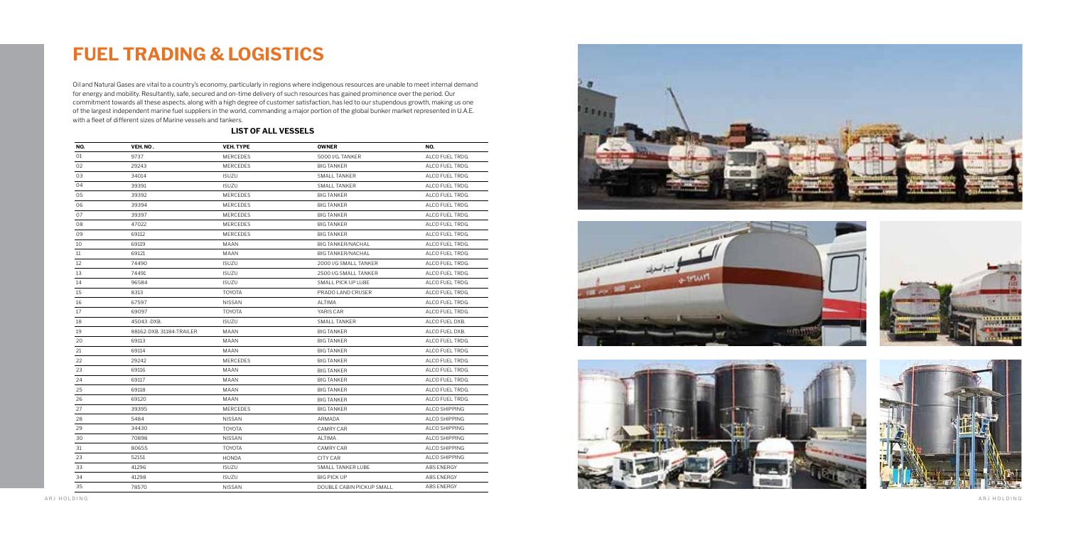# **FUEL TRADING & LOGISTICS**

Oil and Natural Gases are vital to a country's economy, particularly in regions where indigenous resources are unable to meet internal demand for energy and mobility. Resultantly, safe, secured and on-time delivery of such resources has gained prominence over the period. Our commitment towards all these aspects, along with a high degree of customer satisfaction, has led to our stupendous growth, making us one of the largest independent marine fuel suppliers in the world, commanding a major portion of the global bunker market represented in U.A.E. with a fleet of different sizes of Marine vessels and tankers.

| NO. | VEH. NO.                 | <b>VEH. TYPE</b> | <b>OWNER</b>              | NO.               |
|-----|--------------------------|------------------|---------------------------|-------------------|
| 01  | 9737                     | <b>MERCEDES</b>  | 5000 I/G. TANKER          | ALCO FUEL TRDG.   |
| 02  | 29243                    | <b>MERCEDES</b>  | <b>BIG TANKER</b>         | ALCO FUEL TRDG.   |
| 03  | 34014                    | <b>ISUZU</b>     | <b>SMALL TANKER</b>       | ALCO FUEL TRDG.   |
| 04  | 39391                    | <b>ISUZU</b>     | <b>SMALL TANKER</b>       | ALCO FUEL TRDG.   |
| 05  | 39392                    | <b>MERCEDES</b>  | <b>BIG TANKER</b>         | ALCO FUEL TRDG.   |
| 06  | 39394                    | <b>MERCEDES</b>  | <b>BIG TANKER</b>         | ALCO FUEL TRDG.   |
| 07  | 39397                    | MERCEDES         | <b>BIG TANKER</b>         | ALCO FUEL TRDG.   |
| 08  | 47022                    | MERCEDES         | <b>BIG TANKER</b>         | ALCO FUEL TRDG.   |
| 09  | 69112                    | <b>MERCEDES</b>  | <b>BIG TANKER</b>         | ALCO FUEL TRDG.   |
| 10  | 69119                    | MAAN             | <b>BIG TANKER/NACHAL</b>  | ALCO FUEL TRDG.   |
| 11  | 69121                    | <b>MAAN</b>      | <b>BIG TANKER/NACHAL</b>  | ALCO FUEL TRDG.   |
| 12  | 74490                    | <b>ISUZU</b>     | 2000 I/G SMALL TANKER     | ALCO FUEL TRDG.   |
| 13  | 74491                    | <b>ISUZU</b>     | 2500 I/G SMALL TANKER     | ALCO FUEL TRDG.   |
| 14  | 96584                    | <b>ISUZU</b>     | SMALL PICK UP LUBE        | ALCO FUEL TRDG.   |
| 15  | 8313                     | <b>TOYOTA</b>    | PRADO LAND CRUSER         | ALCO FUEL TRDG.   |
| 16  | 67597                    | <b>NISSAN</b>    | ALTIMA                    | ALCO FUEL TRDG.   |
| 17  | 69097                    | <b>TOYOTA</b>    | YARIS CAR                 | ALCO FUEL TRDG.   |
| 18  | 45043 - DXB.             | <b>ISUZU</b>     | <b>SMALL TANKER</b>       | ALCO FUEL DXB.    |
| 19  | 88162-DXB. 31184-TRAILER | <b>MAAN</b>      | <b>BIG TANKER</b>         | ALCO FUEL DXB.    |
| 20  | 69113                    | MAAN             | <b>BIG TANKER</b>         | ALCO FUEL TRDG.   |
| 21  | 69114                    | <b>MAAN</b>      | <b>BIG TANKER</b>         | ALCO FUEL TRDG.   |
| 22  | 29242                    | <b>MERCEDES</b>  | <b>BIG TANKER</b>         | ALCO FUEL TRDG.   |
| 23  | 69116                    | MAAN             | <b>BIG TANKER</b>         | ALCO FUEL TRDG.   |
| 24  | 69117                    | <b>MAAN</b>      | <b>BIG TANKER</b>         | ALCO FUEL TRDG.   |
| 25  | 69118                    | MAAN             | <b>BIG TANKER</b>         | ALCO FUEL TRDG.   |
| 26  | 69120                    | <b>MAAN</b>      | <b>BIG TANKER</b>         | ALCO FUEL TRDG.   |
| 27  | 39395                    | MERCEDES         | <b>BIG TANKER</b>         | ALCO SHIPPING     |
| 28  | 5484                     | <b>NISSAN</b>    | ARMADA                    | ALCO SHIPPING     |
| 29  | 34430                    | <b>TOYOTA</b>    | <b>CAMRY CAR</b>          | ALCO SHIPPING     |
| 30  | 70898                    | NISSAN           | ALTIMA                    | ALCO SHIPPING     |
| 31  | 80655                    | <b>TOYOTA</b>    | <b>CAMRY CAR</b>          | ALCO SHIPPING     |
| 23  | 52151                    | <b>HONDA</b>     | CITY CAR                  | ALCO SHIPPING     |
| 33  | 41296                    | <b>ISUZU</b>     | SMALL TANKER LUBE         | ABS ENERGY        |
| 34  | 41298                    | <b>ISUZU</b>     | <b>BIG PICK UP</b>        | ABS ENERGY        |
| 35  | 78570                    | <b>NISSAN</b>    | DOUBLE CABIN PICKUP SMALL | <b>ABS ENERGY</b> |

#### **LIST OF ALL VESSELS**









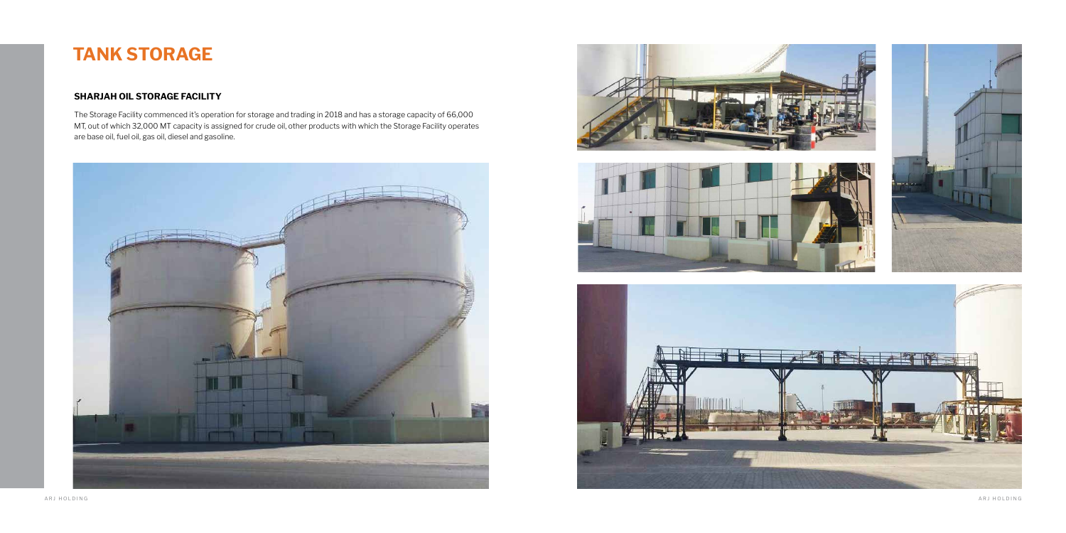# **TANK STORAGE**

## **SHARJAH OIL STORAGE FACILITY**

The Storage Facility commenced it's operation for storage and trading in 2018 and has a storage capacity of 66,000 MT, out of which 32,000 MT capacity is assigned for crude oil, other products with which the Storage Facility operates are base oil, fuel oil, gas oil, diesel and gasoline.





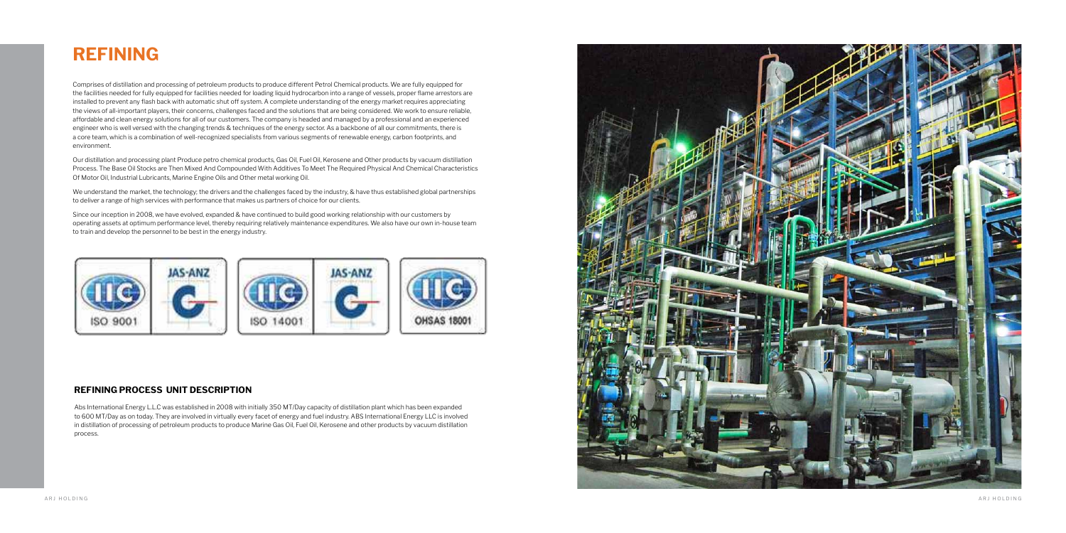# **REFINING**

#### **REFINING PROCESS UNIT DESCRIPTION**

Comprises of distillation and processing of petroleum products to produce different Petrol Chemical products. We are fully equipped for the facilities needed for fully equipped for facilities needed for loading liquid hydrocarbon into a range of vessels, proper flame arrestors are installed to prevent any flash back with automatic shut off system. A complete understanding of the energy market requires appreciating the views of all-important players, their concerns, challenges faced and the solutions that are being considered. We work to ensure reliable, affordable and clean energy solutions for all of our customers. The company is headed and managed by a professional and an experienced engineer who is well versed with the changing trends & techniques of the energy sector. As a backbone of all our commitments, there is a core team, which is a combination of well-recognized specialists from various segments of renewable energy, carbon footprints, and environment.

We understand the market, the technology; the drivers and the challenges faced by the industry, & have thus established global partnerships to deliver a range of high services with performance that makes us partners of choice for our clients.

Our distillation and processing plant Produce petro chemical products, Gas Oil, Fuel Oil, Kerosene and Other products by vacuum distillation Process. The Base Oil Stocks are Then Mixed And Compounded With Additives To Meet The Required Physical And Chemical Characteristics Of Motor Oil, Industrial Lubricants, Marine Engine Oils and Other metal working Oil.

Since our inception in 2008, we have evolved, expanded & have continued to build good working relationship with our customers by operating assets at optimum performance level, thereby requiring relatively maintenance expenditures. We also have our own in-house team to train and develop the personnel to be best in the energy industry.



Abs International Energy L.L.C was established in 2008 with initially 350 MT/Day capacity of distillation plant which has been expanded to 600 MT/Day as on today. They are involved in virtually every facet of energy and fuel industry. ABS International Energy LLC is involved in distillation of processing of petroleum products to produce Marine Gas Oil, Fuel Oil, Kerosene and other products by vacuum distillation process.

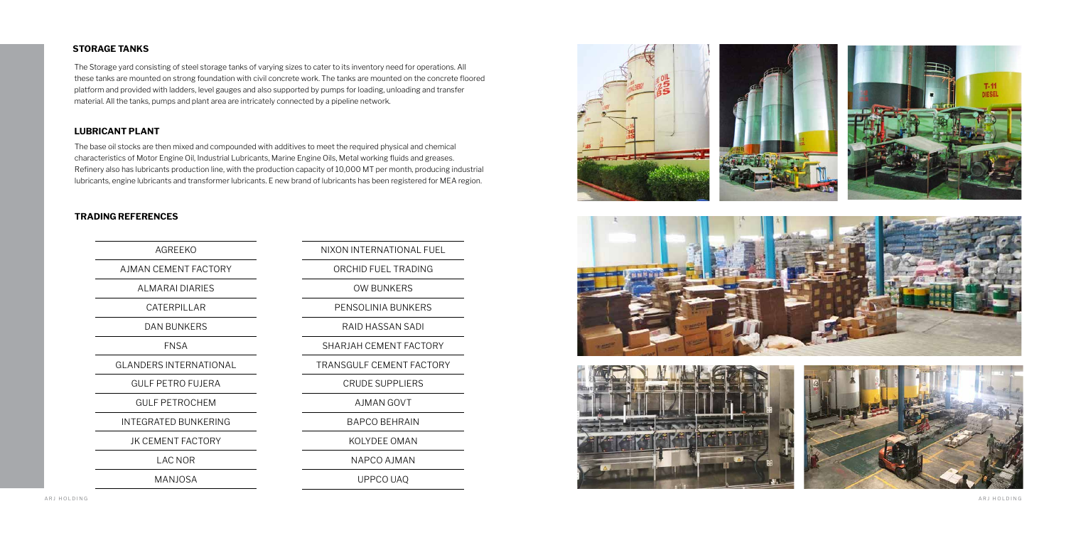### **STORAGE TANKS**

The Storage yard consisting of steel storage tanks of varying sizes to cater to its inventory need for operations. All these tanks are mounted on strong foundation with civil concrete work. The tanks are mounted on the concrete floored platform and provided with ladders, level gauges and also supported by pumps for loading, unloading and transfer material. All the tanks, pumps and plant area are intricately connected by a pipeline network.

The base oil stocks are then mixed and compounded with additives to meet the required physical and chemical characteristics of Motor Engine Oil, Industrial Lubricants, Marine Engine Oils, Metal working fluids and greases. Refinery also has lubricants production line, with the production capacity of 10,000 MT per month, producing industrial lubricants, engine lubricants and transformer lubricants. E new brand of lubricants has been registered for MEA region.

## **LUBRICANT PLANT**

AGREEKO

AJMAN CEMENT FACTORY

ALMARAI DIARIES

CATERPILLAR

DAN BUNKERS

FNSA

GLANDERS INTERNATIONAL

GULF PETRO FUJERA

GULF PETROCHEM

INTEGRATED BUNKERING

JK CEMENT FACTORY

LAC NOR

MANJOSA

NIXON INTERNATIONAL FUEL

ORCHID FUEL TRADING

OW BUNKERS

PENSOLINIA BUNKERS

RAID HASSAN SADI

SHARJAH CEMENT FACTORY

TRANSGULF CEMENT FACTORY

CRUDE SUPPLIERS

AJMAN GOVT

BAPCO BEHRAIN

KOLYDEE OMAN

NAPCO AJMAN

UPPCO UAQ









## **TRADING REFERENCES**